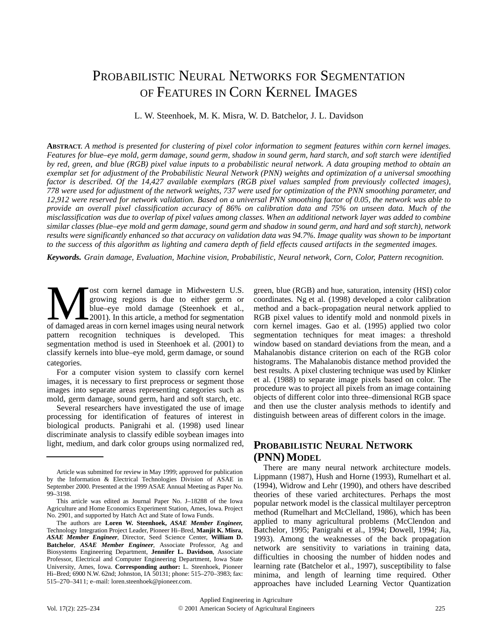# PROBABILISTIC NEURAL NETWORKS FOR SEGMENTATION OF FEATURES IN CORN KERNEL IMAGES

L. W. Steenhoek, M. K. Misra, W. D. Batchelor, J. L. Davidson

**ABSTRACT.** *A method is presented for clustering of pixel color information to segment features within corn kernel images. Features for blue–eye mold, germ damage, sound germ, shadow in sound germ, hard starch, and soft starch were identified by red, green, and blue (RGB) pixel value inputs to a probabilistic neural network. A data grouping method to obtain an exemplar set for adjustment of the Probabilistic Neural Network (PNN) weights and optimization of a universal smoothing factor is described. Of the 14,427 available exemplars (RGB pixel values sampled from previously collected images), 778 were used for adjustment of the network weights, 737 were used for optimization of the PNN smoothing parameter, and 12,912 were reserved for network validation. Based on a universal PNN smoothing factor of 0.05, the network was able to provide an overall pixel classification accuracy of 86% on calibration data and 75% on unseen data. Much of the misclassification was due to overlap of pixel values among classes. When an additional network layer was added to combine similar classes (blue–eye mold and germ damage, sound germ and shadow in sound germ, and hard and soft starch), network results were significantly enhanced so that accuracy on validation data was 94.7%. Image quality was shown to be important to the success of this algorithm as lighting and camera depth of field effects caused artifacts in the segmented images.*

*Keywords. Grain damage, Evaluation, Machine vision, Probabilistic, Neural network, Corn, Color, Pattern recognition.*

ost corn kernel damage in Midwestern U.S. growing regions is due to either germ or blue–eye mold damage (Steenhoek et al., 2001). In this article, a method for segmentation ost corn kernel damage in Midwestern U.S.<br>
growing regions is due to either germ or<br>
blue–eye mold damage (Steenhoek et al.,<br>
of damaged areas in corn kernel images using neural network pattern recognition techniques is developed. This segmentation method is used in Steenhoek et al. (2001) to classify kernels into blue–eye mold, germ damage, or sound categories.

For a computer vision system to classify corn kernel images, it is necessary to first preprocess or segment those images into separate areas representing categories such as mold, germ damage, sound germ, hard and soft starch, etc.

Several researchers have investigated the use of image processing for identification of features of interest in biological products. Panigrahi et al. (1998) used linear discriminate analysis to classify edible soybean images into light, medium, and dark color groups using normalized red,

green, blue (RGB) and hue, saturation, intensity (HSI) color coordinates. Ng et al. (1998) developed a color calibration method and a back–propagation neural network applied to RGB pixel values to identify mold and nonmold pixels in corn kernel images. Gao et al. (1995) applied two color segmentation techniques for meat images: a threshold window based on standard deviations from the mean, and a Mahalanobis distance criterion on each of the RGB color histograms. The Mahalanobis distance method provided the best results. A pixel clustering technique was used by Klinker et al. (1988) to separate image pixels based on color. The procedure was to project all pixels from an image containing objects of different color into three–dimensional RGB space and then use the cluster analysis methods to identify and distinguish between areas of different colors in the image.

## **PROBABILISTIC NEURAL NETWORK (PNN) MODEL**

There are many neural network architecture models. Lippmann (1987), Hush and Horne (1993), Rumelhart et al. (1994), Widrow and Lehr (1990), and others have described theories of these varied architectures. Perhaps the most popular network model is the classical multilayer perceptron method (Rumelhart and McClelland, 1986), which has been applied to many agricultural problems (McClendon and Batchelor, 1995; Panigrahi et al., 1994; Dowell, 1994; Jia, 1993). Among the weaknesses of the back propagation network are sensitivity to variations in training data, difficulties in choosing the number of hidden nodes and learning rate (Batchelor et al., 1997), susceptibility to false minima, and length of learning time required. Other approaches have included Learning Vector Quantization

Article was submitted for review in May 1999; approved for publication by the Information & Electrical Technologies Division of ASAE in September 2000. Presented at the 1999 ASAE Annual Meeting as Paper No. 99–3198.

This article was edited as Journal Paper No. J–18288 of the Iowa Agriculture and Home Economics Experiment Station, Ames, Iowa. Project No. 2901, and supported by Hatch Act and State of Iowa Funds.

The authors are **Loren W. Steenhoek,** *ASAE Member Engineer,* Technology Integration Project Leader, Pioneer Hi–Bred, **Manjit K. Misra**, *ASAE Member Engineer*, Director, Seed Science Center, **William D. Batchelor**, *ASAE Member Engineer*, Associate Professor, Ag and Biosystems Engineering Department, **Jennifer L. Davidson**, Associate Professor, Electrical and Computer Engineering Department, Iowa State University, Ames, Iowa. **Corresponding author:** L. Steenhoek, Pioneer Hi–Bred; 6900 N.W. 62nd; Johnston, IA 50131; phone: 515–270–3983; fax: 515–270–3411; e–mail: loren.steenhoek@pioneer.com.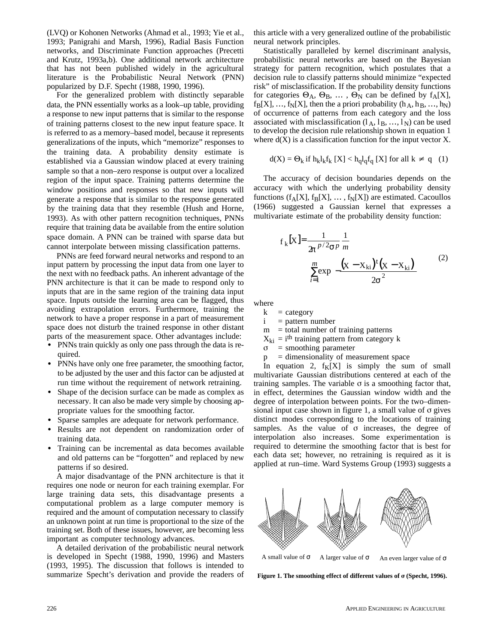(LVQ) or Kohonen Networks (Ahmad et al., 1993; Yie et al., 1993; Panigrahi and Marsh, 1996), Radial Basis Function networks, and Discriminate Function approaches (Precetti and Krutz, 1993a,b). One additional network architecture that has not been published widely in the agricultural literature is the Probabilistic Neural Network (PNN) popularized by D.F. Specht (1988, 1990, 1996).

For the generalized problem with distinctly separable data, the PNN essentially works as a look–up table, providing a response to new input patterns that is similar to the response of training patterns closest to the new input feature space. It is referred to as a memory–based model, because it represents generalizations of the inputs, which "memorize" responses to the training data. A probability density estimate is established via a Gaussian window placed at every training sample so that a non–zero response is output over a localized region of the input space. Training patterns determine the window positions and responses so that new inputs will generate a response that is similar to the response generated by the training data that they resemble (Hush and Horne, 1993). As with other pattern recognition techniques, PNNs require that training data be available from the entire solution space domain. A PNN can be trained with sparse data but cannot interpolate between missing classification patterns.

PNNs are feed forward neural networks and respond to an input pattern by processing the input data from one layer to the next with no feedback paths. An inherent advantage of the PNN architecture is that it can be made to respond only to inputs that are in the same region of the training data input space. Inputs outside the learning area can be flagged, thus avoiding extrapolation errors. Furthermore, training the network to have a proper response in a part of measurement space does not disturb the trained response in other distant parts of the measurement space. Other advantages include:

- PNNs train quickly as only one pass through the data is required.
- PNNs have only one free parameter, the smoothing factor, to be adjusted by the user and this factor can be adjusted at run time without the requirement of network retraining.
- - Shape of the decision surface can be made as complex as necessary. It can also be made very simple by choosing appropriate values for the smoothing factor.
- -Sparse samples are adequate for network performance.
- Results are not dependent on randomization order of training data.
- Training can be incremental as data becomes available and old patterns can be "forgotten" and replaced by new patterns if so desired.

A major disadvantage of the PNN architecture is that it requires one node or neuron for each training exemplar. For large training data sets, this disadvantage presents a computational problem as a large computer memory is required and the amount of computation necessary to classify an unknown point at run time is proportional to the size of the training set. Both of these issues, however, are becoming less important as computer technology advances.

A detailed derivation of the probabilistic neural network is developed in Specht (1988, 1990, 1996) and Masters (1993, 1995). The discussion that follows is intended to summarize Specht's derivation and provide the readers of

this article with a very generalized outline of the probabilistic neural network principles.

Statistically paralleled by kernel discriminant analysis, probabilistic neural networks are based on the Bayesian strategy for pattern recognition, which postulates that a decision rule to classify patterns should minimize "expected risk" of misclassification. If the probability density functions for categories  $\Theta_A$ ,  $\Theta_B$ , ...,  $\Theta_N$  can be defined by  $f_A[X]$ ,  $f_B[X], ..., f_N[X]$ , then the a priori probability  $(h_A, h_B, ..., h_N)$ of occurrence of patterns from each category and the loss associated with misclassification  $(l_A, l_B, ..., l_N)$  can be used to develop the decision rule relationship shown in equation 1 where  $d(X)$  is a classification function for the input vector X.

$$
d(X) = \Theta_k \text{ if } h_k l_k f_k \text{ [X]} < h_q l_q f_q \text{ [X] for all } k \neq q \quad (1)
$$

The accuracy of decision boundaries depends on the accuracy with which the underlying probability density functions  $(f_A[X], f_B[X], \ldots, f_N[X])$  are estimated. Cacoullos (1966) suggested a Gaussian kernel that expresses a multivariate estimate of the probability density function:

$$
f_{k}[X] = \frac{1}{2\pi^{p/2} \sigma^{p}} \frac{1}{m}
$$

$$
\sum_{i=1}^{m} \exp \left[ -\frac{(X - X_{ki})^{t}(X - X_{ki})}{2\sigma^{2}} \right]
$$
(2)

where

 $k = category$ 

 $i =$  pattern number

 $m =$  total number of training patterns

 $X_{ki} = i<sup>th</sup>$  training pattern from category k

 $\sigma$ = smoothing parameter

 $p =$  dimensionality of measurement space

In equation 2,  $f_K[X]$  is simply the sum of small multivariate Gaussian distributions centered at each of the training samples. The variable  $\sigma$  is a smoothing factor that, in effect, determines the Gaussian window width and the degree of interpolation between points. For the two–dimensional input case shown in figure 1, a small value of  $\sigma$  gives distinct modes corresponding to the locations of training samples. As the value of  $\sigma$  increases, the degree of interpolation also increases. Some experimentation is required to determine the smoothing factor that is best for each data set; however, no retraining is required as it is applied at run–time. Ward Systems Group (1993) suggests a



A small value of  $\sigma$  A larger value of  $\sigma$  An even larger value of  $\sigma$ 

Figure 1. The smoothing effect of different values of  $\sigma$  (Specht, 1996).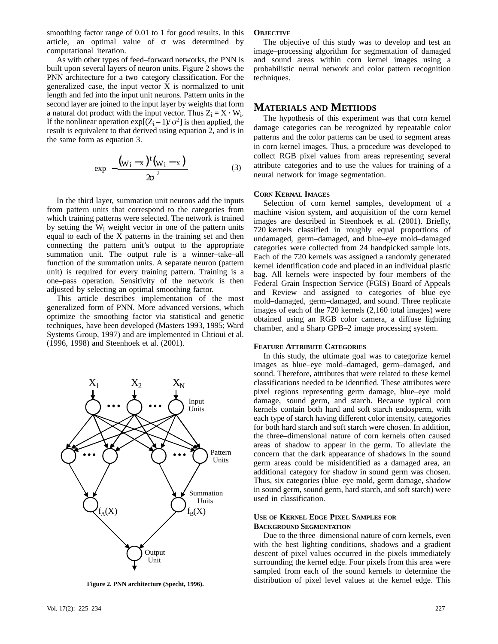smoothing factor range of 0.01 to 1 for good results. In this article, an optimal value of  $\sigma$  was determined by computational iteration.

As with other types of feed–forward networks, the PNN is built upon several layers of neuron units. Figure 2 shows the PNN architecture for a two–category classification. For the generalized case, the input vector X is normalized to unit length and fed into the input unit neurons. Pattern units in the second layer are joined to the input layer by weights that form a natural dot product with the input vector. Thus  $Z_i = X \cdot W_i$ . If the nonlinear operation  $exp[(\vec{Z}_i - 1)/\sigma^2]$  is then applied, the result is equivalent to that derived using equation 2, and is in the same form as equation 3.

$$
\exp\left[-\frac{(w_i-x)^t(w_i-x)}{2\sigma^2}\right]
$$
 (3)

In the third layer, summation unit neurons add the inputs from pattern units that correspond to the categories from which training patterns were selected. The network is trained by setting the  $W_i$  weight vector in one of the pattern units equal to each of the  $\overline{X}$  patterns in the training set and then connecting the pattern unit's output to the appropriate summation unit. The output rule is a winner–take–all function of the summation units. A separate neuron (pattern unit) is required for every training pattern. Training is a one–pass operation. Sensitivity of the network is then adjusted by selecting an optimal smoothing factor.

This article describes implementation of the most generalized form of PNN. More advanced versions, which optimize the smoothing factor via statistical and genetic techniques, have been developed (Masters 1993, 1995; Ward Systems Group, 1997) and are implemented in Chtioui et al. (1996, 1998) and Steenhoek et al. (2001).



**Figure 2. PNN architecture (Specht, 1996).**

### **OBJECTIVE**

The objective of this study was to develop and test an image–processing algorithm for segmentation of damaged and sound areas within corn kernel images using a probabilistic neural network and color pattern recognition techniques.

## **MATERIALS AND METHODS**

The hypothesis of this experiment was that corn kernel damage categories can be recognized by repeatable color patterns and the color patterns can be used to segment areas in corn kernel images. Thus, a procedure was developed to collect RGB pixel values from areas representing several attribute categories and to use the values for training of a neural network for image segmentation.

#### **CORN KERNAL IMAGES**

Selection of corn kernel samples, development of a machine vision system, and acquisition of the corn kernel images are described in Steenhoek et al. (2001). Briefly, 720 kernels classified in roughly equal proportions of undamaged, germ–damaged, and blue–eye mold–damaged categories were collected from 24 handpicked sample lots. Each of the 720 kernels was assigned a randomly generated kernel identification code and placed in an individual plastic bag. All kernels were inspected by four members of the Federal Grain Inspection Service (FGIS) Board of Appeals and Review and assigned to categories of blue–eye mold–damaged, germ–damaged, and sound. Three replicate images of each of the 720 kernels (2,160 total images) were obtained using an RGB color camera, a diffuse lighting chamber, and a Sharp GPB–2 image processing system.

#### **FEATURE ATTRIBUTE CATEGORIES**

In this study, the ultimate goal was to categorize kernel images as blue–eye mold–damaged, germ–damaged, and sound. Therefore, attributes that were related to these kernel classifications needed to be identified. These attributes were pixel regions representing germ damage, blue–eye mold damage, sound germ, and starch. Because typical corn kernels contain both hard and soft starch endosperm, with each type of starch having different color intensity, categories for both hard starch and soft starch were chosen. In addition, the three–dimensional nature of corn kernels often caused areas of shadow to appear in the germ. To alleviate the concern that the dark appearance of shadows in the sound germ areas could be misidentified as a damaged area, an additional category for shadow in sound germ was chosen. Thus, six categories (blue–eye mold, germ damage, shadow in sound germ, sound germ, hard starch, and soft starch) were used in classification.

#### **USE OF KERNEL EDGE PIXEL SAMPLES FOR BACKGROUND SEGMENTATION**

Due to the three–dimensional nature of corn kernels, even with the best lighting conditions, shadows and a gradient descent of pixel values occurred in the pixels immediately surrounding the kernel edge. Four pixels from this area were sampled from each of the sound kernels to determine the distribution of pixel level values at the kernel edge. This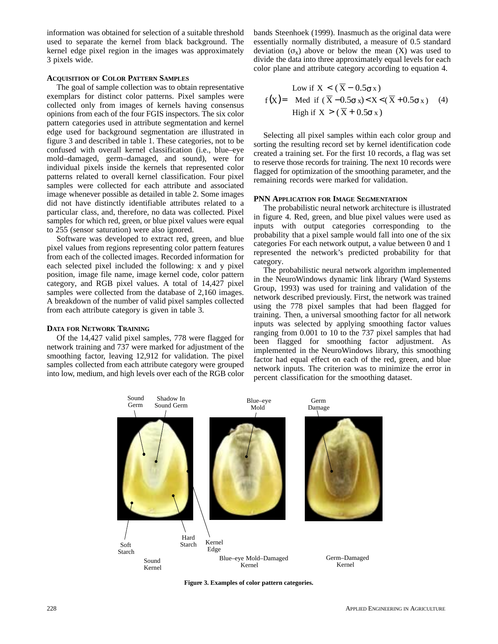information was obtained for selection of a suitable threshold used to separate the kernel from black background. The kernel edge pixel region in the images was approximately 3 pixels wide.

#### **ACQUISITION OF COLOR PATTERN SAMPLES**

The goal of sample collection was to obtain representative exemplars for distinct color patterns. Pixel samples were collected only from images of kernels having consensus opinions from each of the four FGIS inspectors. The six color pattern categories used in attribute segmentation and kernel edge used for background segmentation are illustrated in figure 3 and described in table 1. These categories, not to be confused with overall kernel classification (i.e., blue–eye mold–damaged, germ–damaged, and sound), were for individual pixels inside the kernels that represented color patterns related to overall kernel classification. Four pixel samples were collected for each attribute and associated image whenever possible as detailed in table 2. Some images did not have distinctly identifiable attributes related to a particular class, and, therefore, no data was collected. Pixel samples for which red, green, or blue pixel values were equal to 255 (sensor saturation) were also ignored.

Software was developed to extract red, green, and blue pixel values from regions representing color pattern features from each of the collected images. Recorded information for each selected pixel included the following: x and y pixel position, image file name, image kernel code, color pattern category, and RGB pixel values. A total of 14,427 pixel samples were collected from the database of 2,160 images. A breakdown of the number of valid pixel samples collected from each attribute category is given in table 3.

#### **DATA FOR NETWORK TRAINING**

Of the 14,427 valid pixel samples, 778 were flagged for network training and 737 were marked for adjustment of the smoothing factor, leaving 12,912 for validation. The pixel samples collected from each attribute category were grouped into low, medium, and high levels over each of the RGB color bands Steenhoek (1999). Inasmuch as the original data were essentially normally distributed, a measure of 0.5 standard deviation  $(\sigma_x)$  above or below the mean (X) was used to divide the data into three approximately equal levels for each color plane and attribute category according to equation 4.

$$
f(X) = \begin{cases} \text{Low if } X < (\overline{X} - 0.5\sigma x) \\ \text{Med if } (\overline{X} - 0.5\sigma x) < X < (\overline{X} + 0.5\sigma x) \\ \text{High if } X > (\overline{X} + 0.5\sigma x) \end{cases} (4)
$$

Selecting all pixel samples within each color group and sorting the resulting record set by kernel identification code created a training set. For the first 10 records, a flag was set to reserve those records for training. The next 10 records were flagged for optimization of the smoothing parameter, and the remaining records were marked for validation.

#### **PNN APPLICATION FOR IMAGE SEGMENTATION**

The probabilistic neural network architecture is illustrated in figure 4. Red, green, and blue pixel values were used as inputs with output categories corresponding to the probability that a pixel sample would fall into one of the six categories For each network output, a value between 0 and 1 represented the network's predicted probability for that category.

The probabilistic neural network algorithm implemented in the NeuroWindows dynamic link library (Ward Systems Group, 1993) was used for training and validation of the network described previously. First, the network was trained using the 778 pixel samples that had been flagged for training. Then, a universal smoothing factor for all network inputs was selected by applying smoothing factor values ranging from 0.001 to 10 to the 737 pixel samples that had been flagged for smoothing factor adjustment. As implemented in the NeuroWindows library, this smoothing factor had equal effect on each of the red, green, and blue network inputs. The criterion was to minimize the error in percent classification for the smoothing dataset.



**Figure 3. Examples of color pattern categories.**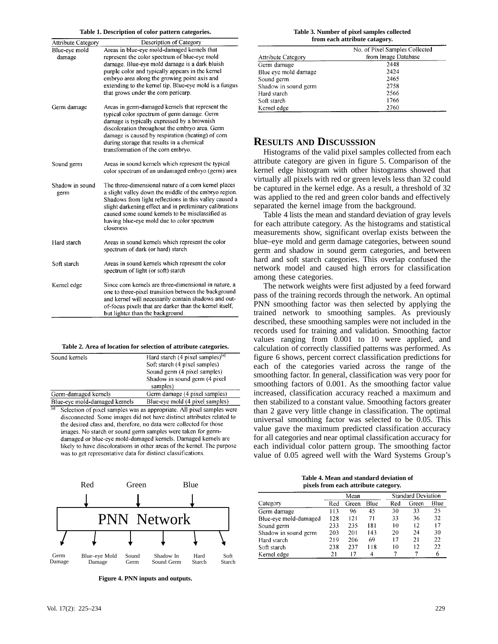#### **Table 1. Description of color pattern categories.**

| <b>Attribute Category</b> | Description of Category                                                                                                                                                                                                                                                                                                                            |
|---------------------------|----------------------------------------------------------------------------------------------------------------------------------------------------------------------------------------------------------------------------------------------------------------------------------------------------------------------------------------------------|
| Blue-eye mold<br>damage   | Areas in blue-eye mold-damaged kernels that<br>represent the color spectrum of blue-eye mold<br>damage. Blue-eye mold damage is a dark bluish<br>purple color and typically appears in the kernel<br>embryo area along the growing point axis and<br>extending to the kernel tip. Blue-eye mold is a fungus<br>that grows under the corn pericarp. |
| Germ damage               | Areas in germ-damaged kernels that represent the<br>typical color spectrum of germ damage. Germ<br>damage is typically expressed by a brownish<br>discoloration throughout the embryo area. Germ<br>damage is caused by respiration (heating) of corn<br>during storage that results in a chemical<br>transformation of the corn embryo.           |
| Sound germ                | Areas in sound kernels which represent the typical<br>color spectrum of an undamaged embryo (germ) area                                                                                                                                                                                                                                            |
| Shadow in sound<br>germ   | The three-dimensional nature of a corn kernel places<br>a slight valley down the middle of the embryo region.<br>Shadows from light reflections in this valley caused a<br>slight darkening effect and in preliminary calibrations<br>caused some sound kernels to be misclassified as<br>having blue-eye mold due to color spectrum<br>closeness  |
| Hard starch               | Areas in sound kernels which represent the color<br>spectrum of dark (or hard) starch                                                                                                                                                                                                                                                              |
| Soft starch               | Areas in sound kernels which represent the color<br>spectrum of light (or soft) starch                                                                                                                                                                                                                                                             |
| Kernel edge               | Since corn kernels are three-dimensional in nature, a<br>one to three-pixel transition between the background<br>and kernel will necessarily contain shadows and out-<br>of-focus pixels that are darker than the kernel itself,<br>but lighter than the background.                                                                               |

|  |  |  | Table 2. Area of location for selection of attribute categories. |  |  |
|--|--|--|------------------------------------------------------------------|--|--|
|--|--|--|------------------------------------------------------------------|--|--|

| Sound kernels                                                                    | Hard starch (4 pixel samples) <sup>[a]</sup>                                                                                                                                                                                                                                                                                                                                                                                     |
|----------------------------------------------------------------------------------|----------------------------------------------------------------------------------------------------------------------------------------------------------------------------------------------------------------------------------------------------------------------------------------------------------------------------------------------------------------------------------------------------------------------------------|
|                                                                                  | Soft starch (4 pixel samples)                                                                                                                                                                                                                                                                                                                                                                                                    |
|                                                                                  | Sound germ (4 pixel samples)                                                                                                                                                                                                                                                                                                                                                                                                     |
|                                                                                  | Shadow in sound germ (4 pixel)                                                                                                                                                                                                                                                                                                                                                                                                   |
|                                                                                  | samples)                                                                                                                                                                                                                                                                                                                                                                                                                         |
| Germ-damaged kernels                                                             | Germ damage (4 pixel samples)                                                                                                                                                                                                                                                                                                                                                                                                    |
| Blue-eye mold-damaged kernels                                                    | Blue-eye mold (4 pixel samples)                                                                                                                                                                                                                                                                                                                                                                                                  |
| $\overline{[a]}$<br>was to get representative data for distinct classifications. | Selection of pixel samples was as appropriate. All pixel samples were<br>disconnected. Some images did not have distinct attributes related to<br>the desired class and, therefore, no data were collected for those<br>images. No starch or sound germ samples were taken for germ-<br>damaged or blue-eye mold-damaged kernels. Damaged kernels are<br>likely to have discolorations in other areas of the kernel. The purpose |



**Figure 4. PNN inputs and outputs.**

#### **Table 3. Number of pixel samples collected from each attribute catagory.**

|                           | No. of Pixel Samples Collected |
|---------------------------|--------------------------------|
| <b>Attribute Category</b> | from Image Database            |
| Germ damage               | 2448                           |
| Blue eye mold damage      | 2424                           |
| Sound germ                | 2465                           |
| Shadow in sound germ      | 2758                           |
| Hard starch               | 2566                           |
| Soft starch               | 1766                           |
| Kernel edge               | 2760                           |
|                           |                                |

## **RESULTS AND DISCUSSSION**

Histograms of the valid pixel samples collected from each attribute category are given in figure 5. Comparison of the kernel edge histogram with other histograms showed that virtually all pixels with red or green levels less than 32 could be captured in the kernel edge. As a result, a threshold of 32 was applied to the red and green color bands and effectively separated the kernel image from the background.

Table 4 lists the mean and standard deviation of gray levels for each attribute category. As the histograms and statistical measurements show, significant overlap exists between the blue–eye mold and germ damage categories, between sound germ and shadow in sound germ categories, and between hard and soft starch categories. This overlap confused the network model and caused high errors for classification among these categories.

The network weights were first adjusted by a feed forward pass of the training records through the network. An optimal PNN smoothing factor was then selected by applying the trained network to smoothing samples. As previously described, these smoothing samples were not included in the records used for training and validation. Smoothing factor values ranging from 0.001 to 10 were applied, and calculation of correctly classified patterns was performed. As figure 6 shows, percent correct classification predictions for each of the categories varied across the range of the smoothing factor. In general, classification was very poor for smoothing factors of 0.001. As the smoothing factor value increased, classification accuracy reached a maximum and then stabilized to a constant value. Smoothing factors greater than 2 gave very little change in classification. The optimal universal smoothing factor was selected to be 0.05. This value gave the maximum predicted classification accuracy for all categories and near optimal classification accuracy for each individual color pattern group. The smoothing factor value of 0.05 agreed well with the Ward Systems Group's

| Table 4. Mean and standard deviation of |
|-----------------------------------------|
| pixels from each attribute category.    |

|                       |     | Mean  |             |     | <b>Standard Deviation</b> |      |  |  |
|-----------------------|-----|-------|-------------|-----|---------------------------|------|--|--|
| Category              | Red | Green | <b>Blue</b> | Red | Green                     | Blue |  |  |
| Germ damage           | 113 | 96    | 45          | 30  | 33                        | 25   |  |  |
| Blue-eye mold-damaged | 128 | 121   | 71          | 33  | 36                        | 32   |  |  |
| Sound germ            | 233 | 235   | 181         | 10  | 12                        | 17   |  |  |
| Shadow in sound germ  | 203 | 201   | 143         | 20  | 24                        | 30   |  |  |
| Hard starch           | 219 | 206   | 69          | 17  | 21                        | 22   |  |  |
| Soft starch           | 238 | 237   | 118         | 10  | 12                        | 22   |  |  |
| Kernel edge           | 21  | 17    |             |     |                           |      |  |  |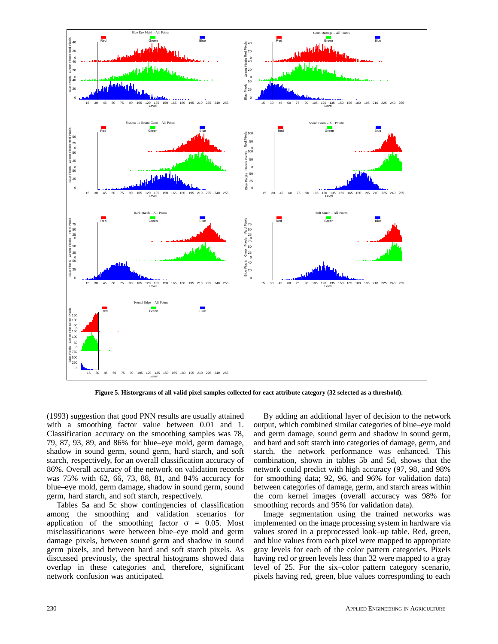

**Figure 5. Historgrams of all valid pixel samples collected for eact attribute category (32 selected as a threshold).**

(1993) suggestion that good PNN results are usually attained with a smoothing factor value between 0.01 and 1. Classification accuracy on the smoothing samples was 78, 79, 87, 93, 89, and 86% for blue–eye mold, germ damage, shadow in sound germ, sound germ, hard starch, and soft starch, respectively, for an overall classification accuracy of 86%. Overall accuracy of the network on validation records was 75% with 62, 66, 73, 88, 81, and 84% accuracy for blue–eye mold, germ damage, shadow in sound germ, sound germ, hard starch, and soft starch, respectively.

Tables 5a and 5c show contingencies of classification among the smoothing and validation scenarios for application of the smoothing factor  $\sigma = 0.05$ . Most misclassifications were between blue–eye mold and germ damage pixels, between sound germ and shadow in sound germ pixels, and between hard and soft starch pixels. As discussed previously, the spectral histograms showed data overlap in these categories and, therefore, significant network confusion was anticipated.

By adding an additional layer of decision to the network output, which combined similar categories of blue–eye mold and germ damage, sound germ and shadow in sound germ, and hard and soft starch into categories of damage, germ, and starch, the network performance was enhanced. This combination, shown in tables 5b and 5d, shows that the network could predict with high accuracy (97, 98, and 98% for smoothing data; 92, 96, and 96% for validation data) between categories of damage, germ, and starch areas within the corn kernel images (overall accuracy was 98% for smoothing records and 95% for validation data).

Image segmentation using the trained networks was implemented on the image processing system in hardware via values stored in a preprocessed look–up table. Red, green, and blue values from each pixel were mapped to appropriate gray levels for each of the color pattern categories. Pixels having red or green levels less than 32 were mapped to a gray level of 25. For the six–color pattern category scenario, pixels having red, green, blue values corresponding to each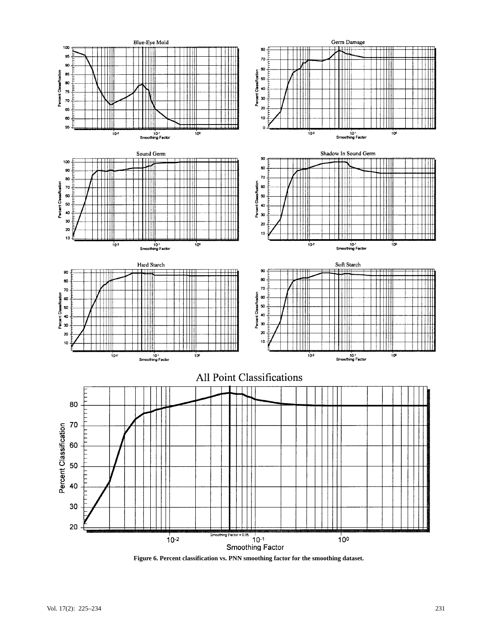

**Figure 6. Percent classification vs. PNN smoothing factor for the smoothing dataset.**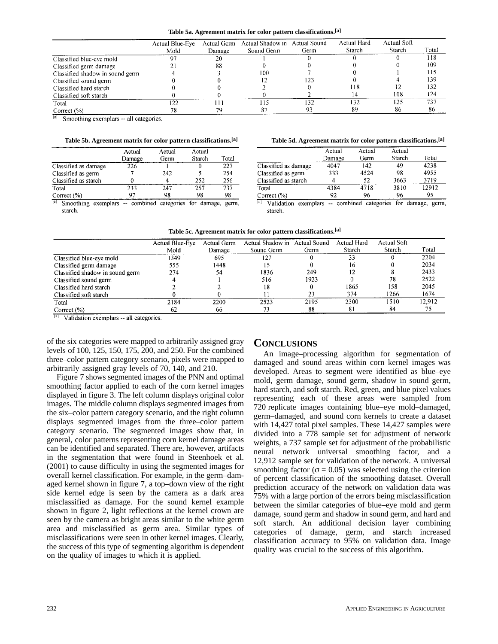|                                 | Actual Blue-Eve<br>Mold | Actual Germ<br>Damage | Actual Shadow in<br>Sound Germ | Actual Sound<br>Germ | Actual Hard<br>Starch | Actual Soft<br>Starch | Total |
|---------------------------------|-------------------------|-----------------------|--------------------------------|----------------------|-----------------------|-----------------------|-------|
| Classified blue-eve mold        |                         | 20                    |                                |                      |                       |                       | 118   |
| Classified germ damage          |                         | 88                    |                                |                      |                       |                       | 109   |
| Classified shadow in sound germ |                         |                       | 100                            |                      |                       |                       | 115   |
| Classified sound germ           |                         |                       |                                | 123                  |                       |                       | 139   |
| Classified hard starch          |                         |                       |                                |                      | 118                   |                       | 132   |
| Classified soft starch          |                         |                       |                                |                      |                       | 108                   | 124   |
| Total                           | 122                     |                       |                                | 132                  | 132                   | 125                   | 737   |
| Correct $(\% )$                 |                         | 79                    | 87                             | 93                   | 89                    | 86                    | 86    |

 $|a|$  Smoothing exemplars -- all categories.

|  |  |  |  |  |  | Table 5b. Agreement matrix for color pattern classifications.[a] |  |
|--|--|--|--|--|--|------------------------------------------------------------------|--|
|--|--|--|--|--|--|------------------------------------------------------------------|--|

|                      | Actual<br>Damage | Actual<br>Germ | Actual<br>Starch | Total |
|----------------------|------------------|----------------|------------------|-------|
| Classified as damage | 226              |                |                  | 227   |
| Classified as germ   |                  | 242            |                  | 254   |
| Classified as starch |                  |                | 252              | 256   |
| Total                | 233              | 247            | 257              | 737   |
| Correct $(\% )$      | 97               | 98             | 98               | 98    |

<sup>[a]</sup> Smoothing exemplars -- combined categories for damage, germ, starch.

**Table 5b. Agreement matrix for color pattern classifications.[a] Table 5d. Agreement matrix for color pattern classifications.[a]**

|                      | Actual | Actual | Actual |       |
|----------------------|--------|--------|--------|-------|
|                      | Damage | Germ   | Starch | Total |
| Classified as damage | 4047   | 142    | 49     | 4238  |
| Classified as germ   | 333    | 4524   | 98     | 4955  |
| Classified as starch | 4      | 52     | 3663   | 3719  |
| Total                | 4384   | 4718   | 3810   | 12912 |
| Correct $(\% )$      | 92     | 96     | 96     | 95    |

<sup>[a]</sup> Validation exemplars -- combined categories for damage, germ, starch.

| Table 5c. Agreement matrix for color pattern classifications.[a] |  |  |
|------------------------------------------------------------------|--|--|
|------------------------------------------------------------------|--|--|

|                                                                                                                                                                                                                                                                                                                                                                | <b>Actual Blue-Eve</b> | Actual Germ | Actual Shadow in | <b>Actual Sound</b> | Actual Hard | Actual Soft |        |
|----------------------------------------------------------------------------------------------------------------------------------------------------------------------------------------------------------------------------------------------------------------------------------------------------------------------------------------------------------------|------------------------|-------------|------------------|---------------------|-------------|-------------|--------|
|                                                                                                                                                                                                                                                                                                                                                                | Mold                   | Damage      | Sound Germ       | Germ                | Starch      | Starch      | Total  |
| Classified blue-eye mold                                                                                                                                                                                                                                                                                                                                       | 1349                   | 695         | 127              |                     | 33          |             | 2204   |
| Classified germ damage                                                                                                                                                                                                                                                                                                                                         | 555                    | 1448        |                  |                     | 16          |             | 2034   |
| Classified shadow in sound germ                                                                                                                                                                                                                                                                                                                                | 274                    | 54          | 1836             | 249                 |             |             | 2433   |
| Classified sound germ                                                                                                                                                                                                                                                                                                                                          |                        |             | 516              | 1923                |             | 78          | 2522   |
| Classified hard starch                                                                                                                                                                                                                                                                                                                                         |                        |             | 18               |                     | 1865        | 158         | 2045   |
| Classified soft starch                                                                                                                                                                                                                                                                                                                                         |                        |             |                  | 23                  | 374         | 1266        | 1674   |
| Total                                                                                                                                                                                                                                                                                                                                                          | 2184                   | 2200        | 2523             | 2195                | 2300        | 1510        | 12,912 |
| Correct $(\% )$                                                                                                                                                                                                                                                                                                                                                | 62                     | 66          | 73               | 88                  | 81          | 84          | 75     |
| $\boxed{a}$ $\boxed{a}$ $\boxed{a}$ $\boxed{a}$ $\boxed{a}$ $\boxed{a}$ $\boxed{a}$ $\boxed{a}$ $\boxed{a}$ $\boxed{a}$ $\boxed{a}$ $\boxed{a}$ $\boxed{a}$ $\boxed{a}$ $\boxed{a}$ $\boxed{a}$ $\boxed{a}$ $\boxed{a}$ $\boxed{a}$ $\boxed{a}$ $\boxed{a}$ $\boxed{a}$ $\boxed{a}$ $\boxed{a}$ $\boxed{a}$ $\boxed{a}$ $\boxed{a}$ $\boxed{a$<br>$\mathbf{A}$ |                        |             |                  |                     |             |             |        |

<sup>[a]</sup> Validation exemplars -- all categories.

of the six categories were mapped to arbitrarily assigned gray levels of 100, 125, 150, 175, 200, and 250. For the combined three–color pattern category scenario, pixels were mapped to arbitrarily assigned gray levels of 70, 140, and 210.

Figure 7 shows segmented images of the PNN and optimal smoothing factor applied to each of the corn kernel images displayed in figure 3. The left column displays original color images. The middle column displays segmented images from the six–color pattern category scenario, and the right column displays segmented images from the three–color pattern category scenario. The segmented images show that, in general, color patterns representing corn kernel damage areas can be identified and separated. There are, however, artifacts in the segmentation that were found in Steenhoek et al. (2001) to cause difficulty in using the segmented images for overall kernel classification. For example, in the germ–damaged kernel shown in figure 7, a top–down view of the right side kernel edge is seen by the camera as a dark area misclassified as damage. For the sound kernel example shown in figure 2, light reflections at the kernel crown are seen by the camera as bright areas similar to the white germ area and misclassified as germ area. Similar types of misclassifications were seen in other kernel images. Clearly, the success of this type of segmenting algorithm is dependent on the quality of images to which it is applied.

## **CONCLUSIONS**

An image–processing algorithm for segmentation of damaged and sound areas within corn kernel images was developed. Areas to segment were identified as blue–eye mold, germ damage, sound germ, shadow in sound germ, hard starch, and soft starch. Red, green, and blue pixel values representing each of these areas were sampled from 720 replicate images containing blue–eye mold–damaged, germ–damaged, and sound corn kernels to create a dataset with 14,427 total pixel samples. These 14,427 samples were divided into a 778 sample set for adjustment of network weights, a 737 sample set for adjustment of the probabilistic neural network universal smoothing factor, and a 12,912 sample set for validation of the network. A universal smoothing factor ( $\sigma$  = 0.05) was selected using the criterion of percent classification of the smoothing dataset. Overall prediction accuracy of the network on validation data was 75% with a large portion of the errors being misclassification between the similar categories of blue–eye mold and germ damage, sound germ and shadow in sound germ, and hard and soft starch. An additional decision layer combining categories of damage, germ, and starch increased classification accuracy to 95% on validation data. Image quality was crucial to the success of this algorithm.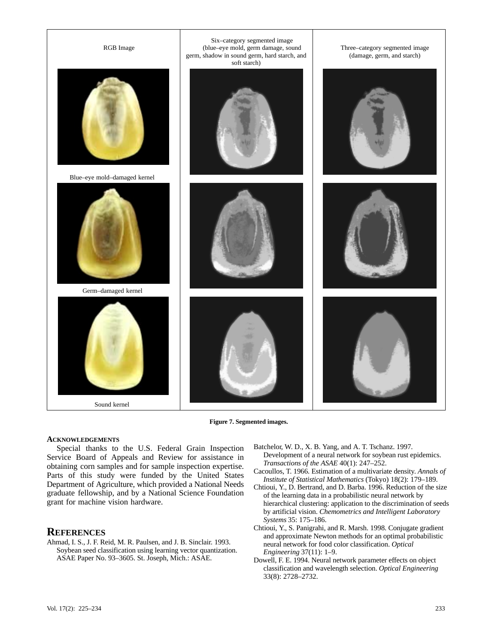

**Figure 7. Segmented images.**

#### **ACKNOWLEDGEMENTS**

Special thanks to the U.S. Federal Grain Inspection Service Board of Appeals and Review for assistance in obtaining corn samples and for sample inspection expertise. Parts of this study were funded by the United States Department of Agriculture, which provided a National Needs graduate fellowship, and by a National Science Foundation grant for machine vision hardware.

## **REFERENCES**

Ahmad, I. S., J. F. Reid, M. R. Paulsen, and J. B. Sinclair. 1993. Soybean seed classification using learning vector quantization. ASAE Paper No. 93–3605. St. Joseph, Mich.: ASAE.

- Batchelor, W. D., X. B. Yang, and A. T. Tschanz. 1997. Development of a neural network for soybean rust epidemics. *Transactions of the ASAE* 40(1): 247–252.
- Cacoullos, T. 1966. Estimation of a multivariate density. *Annals of Institute of Statistical Mathematics* (Tokyo) 18(2): 179–189.
- Chtioui, Y., D. Bertrand, and D. Barba. 1996. Reduction of the size of the learning data in a probabilistic neural network by hierarchical clustering: application to the discrimination of seeds by artificial vision. *Chemometrics and Intelligent Laboratory Systems* 35: 175–186.
- Chtioui, Y., S. Panigrahi, and R. Marsh. 1998. Conjugate gradient and approximate Newton methods for an optimal probabilistic neural network for food color classification. *Optical Engineering* 37(11): 1–9.
- Dowell, F. E. 1994. Neural network parameter effects on object classification and wavelength selection. *Optical Engineering* 33(8): 2728–2732.